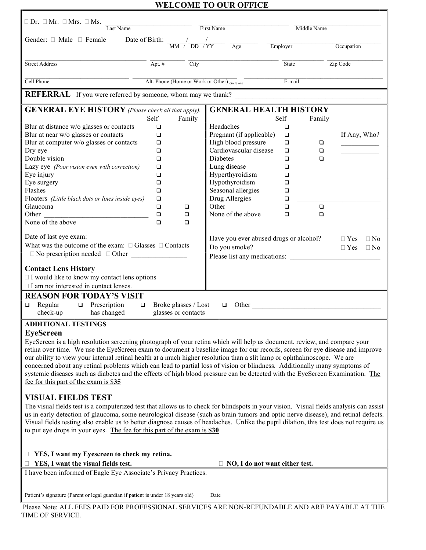# WELCOME TO OUR OFFICE

| $\Box$ Dr. $\Box$ Mr. $\Box$ Mrs. $\Box$ Ms. $\frac{\Box}{\Box}$ Name                                                                                                                                                                                |          |                                         |                                        |          |             |                                                                                                                                                                                                                                                                                                                                                                                                                                                        |
|------------------------------------------------------------------------------------------------------------------------------------------------------------------------------------------------------------------------------------------------------|----------|-----------------------------------------|----------------------------------------|----------|-------------|--------------------------------------------------------------------------------------------------------------------------------------------------------------------------------------------------------------------------------------------------------------------------------------------------------------------------------------------------------------------------------------------------------------------------------------------------------|
|                                                                                                                                                                                                                                                      |          | First Name                              |                                        |          | Middle Name |                                                                                                                                                                                                                                                                                                                                                                                                                                                        |
| Gender: $\Box$ Male $\Box$ Female                                                                                                                                                                                                                    |          | Date of Birth: $\frac{1}{MM}$ / DD / YY |                                        |          |             |                                                                                                                                                                                                                                                                                                                                                                                                                                                        |
|                                                                                                                                                                                                                                                      |          |                                         | Age                                    | Employer |             | Occupation                                                                                                                                                                                                                                                                                                                                                                                                                                             |
|                                                                                                                                                                                                                                                      |          |                                         |                                        |          |             |                                                                                                                                                                                                                                                                                                                                                                                                                                                        |
| <b>Street Address</b>                                                                                                                                                                                                                                | Apt. $#$ | $\overline{City}$                       |                                        | State    |             | Zip Code                                                                                                                                                                                                                                                                                                                                                                                                                                               |
|                                                                                                                                                                                                                                                      |          |                                         |                                        |          |             |                                                                                                                                                                                                                                                                                                                                                                                                                                                        |
| Alt. Phone (Home or Work or Other) circle one<br>$E$ -mail<br>Cell Phone                                                                                                                                                                             |          |                                         |                                        |          |             |                                                                                                                                                                                                                                                                                                                                                                                                                                                        |
| <b>REFERRAL</b> If you were referred by someone, whom may we thank?                                                                                                                                                                                  |          |                                         |                                        |          |             |                                                                                                                                                                                                                                                                                                                                                                                                                                                        |
| <b>GENERAL HEALTH HISTORY</b><br><b>GENERAL EYE HISTORY</b> (Please check all that apply).                                                                                                                                                           |          |                                         |                                        |          |             |                                                                                                                                                                                                                                                                                                                                                                                                                                                        |
|                                                                                                                                                                                                                                                      | Self     | Family                                  |                                        | Self     | Family      |                                                                                                                                                                                                                                                                                                                                                                                                                                                        |
| Blur at distance w/o glasses or contacts                                                                                                                                                                                                             | $\Box$   |                                         | Headaches                              | □        |             |                                                                                                                                                                                                                                                                                                                                                                                                                                                        |
| Blur at near w/o glasses or contacts                                                                                                                                                                                                                 | $\Box$   |                                         | Pregnant (if applicable)               | □        |             | If Any, Who?                                                                                                                                                                                                                                                                                                                                                                                                                                           |
| Blur at computer w/o glasses or contacts                                                                                                                                                                                                             | $\Box$   |                                         | High blood pressure                    | $\Box$   | $\Box$      |                                                                                                                                                                                                                                                                                                                                                                                                                                                        |
| Dry eye                                                                                                                                                                                                                                              | □        |                                         | Cardiovascular disease                 | □        | $\Box$      | $\label{eq:2.1} \frac{1}{\sqrt{2}}\left(\frac{1}{\sqrt{2}}\right)^{2} \left(\frac{1}{\sqrt{2}}\right)^{2} \left(\frac{1}{\sqrt{2}}\right)^{2} \left(\frac{1}{\sqrt{2}}\right)^{2} \left(\frac{1}{\sqrt{2}}\right)^{2} \left(\frac{1}{\sqrt{2}}\right)^{2} \left(\frac{1}{\sqrt{2}}\right)^{2} \left(\frac{1}{\sqrt{2}}\right)^{2} \left(\frac{1}{\sqrt{2}}\right)^{2} \left(\frac{1}{\sqrt{2}}\right)^{2} \left(\frac{1}{\sqrt{2}}\right)^{2} \left(\$ |
| Double vision                                                                                                                                                                                                                                        | $\Box$   |                                         | <b>Diabetes</b>                        | □        | $\Box$      |                                                                                                                                                                                                                                                                                                                                                                                                                                                        |
| Lazy eye (Poor vision even with correction)                                                                                                                                                                                                          | □        |                                         | Lung disease                           | $\Box$   |             |                                                                                                                                                                                                                                                                                                                                                                                                                                                        |
| Eye injury                                                                                                                                                                                                                                           | □        |                                         | Hyperthyroidism                        | □        |             |                                                                                                                                                                                                                                                                                                                                                                                                                                                        |
| Eye surgery                                                                                                                                                                                                                                          | $\Box$   |                                         | Hypothyroidism                         | $\Box$   |             |                                                                                                                                                                                                                                                                                                                                                                                                                                                        |
| Flashes                                                                                                                                                                                                                                              | □        |                                         | Seasonal allergies                     | $\Box$   |             |                                                                                                                                                                                                                                                                                                                                                                                                                                                        |
| Floaters (Little black dots or lines inside eyes)                                                                                                                                                                                                    | $\Box$   |                                         | Drug Allergies                         | $\Box$   |             |                                                                                                                                                                                                                                                                                                                                                                                                                                                        |
| Glaucoma                                                                                                                                                                                                                                             | □        | □                                       | Other                                  | $\Box$   | $\Box$      |                                                                                                                                                                                                                                                                                                                                                                                                                                                        |
| Other<br><u> 1990 - Johann Barbara, martxa alemaniar a</u>                                                                                                                                                                                           | $\Box$   | $\Box$                                  | None of the above                      | $\Box$   | $\Box$      |                                                                                                                                                                                                                                                                                                                                                                                                                                                        |
| None of the above                                                                                                                                                                                                                                    | $\Box$   | $\Box$                                  |                                        |          |             |                                                                                                                                                                                                                                                                                                                                                                                                                                                        |
|                                                                                                                                                                                                                                                      |          |                                         |                                        |          |             |                                                                                                                                                                                                                                                                                                                                                                                                                                                        |
| Date of last eye exam:                                                                                                                                                                                                                               |          |                                         | Have you ever abused drugs or alcohol? |          |             | $\Box$ Yes<br>$\Box$ No                                                                                                                                                                                                                                                                                                                                                                                                                                |
| What was the outcome of the exam: $\Box$ Glasses $\Box$ Contacts                                                                                                                                                                                     |          |                                         | Do you smoke?                          |          |             | $\square$ Yes<br>$\Box$ No                                                                                                                                                                                                                                                                                                                                                                                                                             |
| $\Box$ No prescription needed $\Box$ Other                                                                                                                                                                                                           |          |                                         | Please list any medications:           |          |             |                                                                                                                                                                                                                                                                                                                                                                                                                                                        |
|                                                                                                                                                                                                                                                      |          |                                         |                                        |          |             |                                                                                                                                                                                                                                                                                                                                                                                                                                                        |
| <b>Contact Lens History</b>                                                                                                                                                                                                                          |          |                                         |                                        |          |             |                                                                                                                                                                                                                                                                                                                                                                                                                                                        |
| $\Box$ I would like to know my contact lens options                                                                                                                                                                                                  |          |                                         |                                        |          |             |                                                                                                                                                                                                                                                                                                                                                                                                                                                        |
| $\Box$ I am not interested in contact lenses.                                                                                                                                                                                                        |          |                                         |                                        |          |             |                                                                                                                                                                                                                                                                                                                                                                                                                                                        |
| <b>REASON FOR TODAY'S VISIT</b>                                                                                                                                                                                                                      |          |                                         |                                        |          |             |                                                                                                                                                                                                                                                                                                                                                                                                                                                        |
| Regular $\Box$ Prescription<br>$\Box$                                                                                                                                                                                                                |          | $\Box$ Broke glasses / Lost             | $\Box$                                 |          |             |                                                                                                                                                                                                                                                                                                                                                                                                                                                        |
| has changed<br>check-up                                                                                                                                                                                                                              |          | glasses or contacts                     |                                        |          |             |                                                                                                                                                                                                                                                                                                                                                                                                                                                        |
| <b>ADDITIONAL TESTINGS</b>                                                                                                                                                                                                                           |          |                                         |                                        |          |             |                                                                                                                                                                                                                                                                                                                                                                                                                                                        |
| <b>EyeScreen</b>                                                                                                                                                                                                                                     |          |                                         |                                        |          |             |                                                                                                                                                                                                                                                                                                                                                                                                                                                        |
| EyeScreen is a high resolution screening photograph of your retina which will help us document, review, and compare your                                                                                                                             |          |                                         |                                        |          |             |                                                                                                                                                                                                                                                                                                                                                                                                                                                        |
| retina over time. We use the EyeScreen exam to document a baseline image for our records, screen for eye disease and improve                                                                                                                         |          |                                         |                                        |          |             |                                                                                                                                                                                                                                                                                                                                                                                                                                                        |
|                                                                                                                                                                                                                                                      |          |                                         |                                        |          |             |                                                                                                                                                                                                                                                                                                                                                                                                                                                        |
| our ability to view your internal retinal health at a much higher resolution than a slit lamp or ophthalmoscope. We are<br>concerned about any retinal problems which can lead to partial loss of vision or blindness. Additionally many symptoms of |          |                                         |                                        |          |             |                                                                                                                                                                                                                                                                                                                                                                                                                                                        |

concerned about any retinal problems which can lead to partial loss of vision or blindness. Additionally many symptoms of systemic diseases such as diabetes and the effects of high blood pressure can be detected with the EyeScreen Examination. The fee for this part of the exam is \$35

## VISUAL FIELDS TEST

The visual fields test is a computerized test that allows us to check for blindspots in your vision. Visual fields analysis can assist us in early detection of glaucoma, some neurological disease (such as brain tumors and optic nerve disease), and retinal defects. Visual fields testing also enable us to better diagnose causes of headaches. Unlike the pupil dilation, this test does not require us to put eye drops in your eyes. The fee for this part of the exam is \$30

YES, I want my Eyescreen to check my retina.

 $\Box$  YES, I want the visual fields test.  $\Box$  NO, I do not want either test.

I have been informed of Eagle Eye Associate's Privacy Practices.

 $\mathcal{L}_\text{max}$ Patient's signature (Parent or legal guardian if patient is under 18 years old) Date

 Please Note: ALL FEES PAID FOR PROFESSIONAL SERVICES ARE NON-REFUNDABLE AND ARE PAYABLE AT THE TIME OF SERVICE.